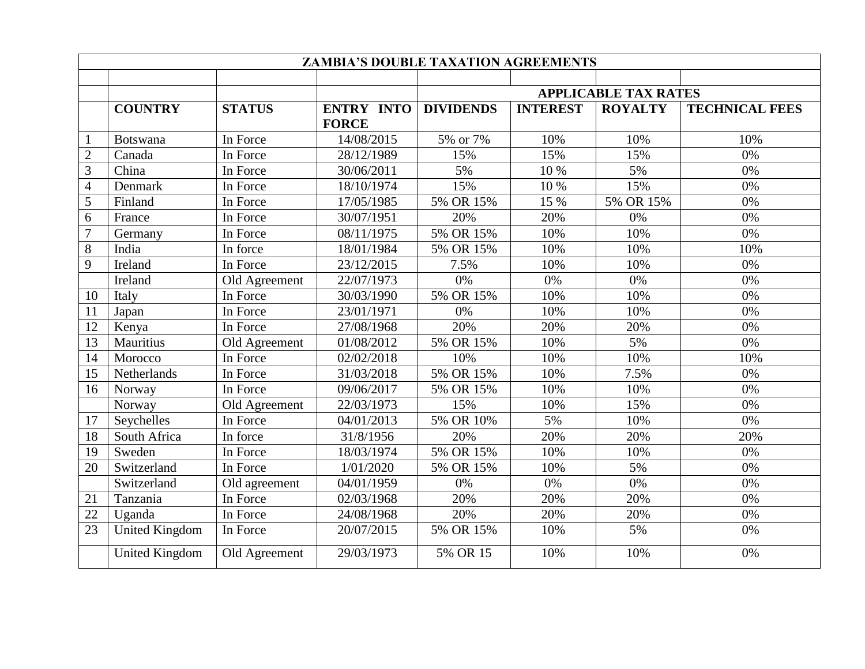| <b>ZAMBIA'S DOUBLE TAXATION AGREEMENTS</b> |                       |               |                         |                             |                 |                |                       |  |  |  |
|--------------------------------------------|-----------------------|---------------|-------------------------|-----------------------------|-----------------|----------------|-----------------------|--|--|--|
|                                            |                       |               |                         |                             |                 |                |                       |  |  |  |
|                                            |                       |               |                         | <b>APPLICABLE TAX RATES</b> |                 |                |                       |  |  |  |
|                                            | <b>COUNTRY</b>        | <b>STATUS</b> | <b>ENTRY INTO</b>       | <b>DIVIDENDS</b>            | <b>INTEREST</b> | <b>ROYALTY</b> | <b>TECHNICAL FEES</b> |  |  |  |
|                                            |                       |               | <b>FORCE</b>            |                             |                 |                |                       |  |  |  |
|                                            | <b>Botswana</b>       | In Force      | 14/08/2015              | 5% or 7%                    | 10%             | 10%            | 10%                   |  |  |  |
| $\overline{2}$                             | Canada                | In Force      | 28/12/1989              | 15%                         | 15%             | 15%            | 0%                    |  |  |  |
| 3                                          | China                 | In Force      | 30/06/2011              | 5%                          | 10 %            | 5%             | $0\%$                 |  |  |  |
| $\overline{4}$                             | Denmark               | In Force      | 18/10/1974              | 15%                         | 10 %            | 15%            | 0%                    |  |  |  |
| 5                                          | Finland               | In Force      | 17/05/1985              | 5% OR 15%                   | 15 %            | 5% OR 15%      | 0%                    |  |  |  |
| 6                                          | France                | In Force      | 30/07/1951              | 20%                         | 20%             | 0%             | 0%                    |  |  |  |
| $\overline{7}$                             | Germany               | In Force      | 08/11/1975              | 5% OR 15%                   | 10%             | 10%            | $0\%$                 |  |  |  |
| $8\,$                                      | India                 | In force      | 18/01/1984              | 5% OR 15%                   | 10%             | 10%            | 10%                   |  |  |  |
| 9                                          | Ireland               | In Force      | $\overline{23/1}2/2015$ | 7.5%                        | 10%             | 10%            | 0%                    |  |  |  |
|                                            | Ireland               | Old Agreement | 22/07/1973              | 0%                          | 0%              | 0%             | 0%                    |  |  |  |
| 10                                         | Italy                 | In Force      | 30/03/1990              | 5% OR 15%                   | 10%             | 10%            | 0%                    |  |  |  |
| 11                                         | Japan                 | In Force      | 23/01/1971              | 0%                          | 10%             | 10%            | 0%                    |  |  |  |
| 12                                         | Kenya                 | In Force      | 27/08/1968              | 20%                         | 20%             | 20%            | 0%                    |  |  |  |
| 13                                         | Mauritius             | Old Agreement | 01/08/2012              | 5% OR 15%                   | 10%             | 5%             | 0%                    |  |  |  |
| 14                                         | Morocco               | In Force      | 02/02/2018              | 10%                         | 10%             | 10%            | 10%                   |  |  |  |
| 15                                         | Netherlands           | In Force      | 31/03/2018              | 5% OR 15%                   | 10%             | 7.5%           | 0%                    |  |  |  |
| 16                                         | Norway                | In Force      | $\frac{09}{06/2017}$    | 5% OR 15%                   | 10%             | 10%            | 0%                    |  |  |  |
|                                            | Norway                | Old Agreement | 22/03/1973              | 15%                         | 10%             | 15%            | 0%                    |  |  |  |
| 17                                         | Seychelles            | In Force      | 04/01/2013              | 5% OR 10%                   | 5%              | 10%            | 0%                    |  |  |  |
| 18                                         | South Africa          | In force      | 31/8/1956               | 20%                         | 20%             | 20%            | 20%                   |  |  |  |
| 19                                         | Sweden                | In Force      | 18/03/1974              | 5% OR 15%                   | 10%             | 10%            | 0%                    |  |  |  |
| 20                                         | Switzerland           | In Force      | 1/01/2020               | 5% OR 15%                   | 10%             | 5%             | 0%                    |  |  |  |
|                                            | Switzerland           | Old agreement | 04/01/1959              | 0%                          | 0%              | 0%             | 0%                    |  |  |  |
| 21                                         | Tanzania              | In Force      | $\sqrt{02}/03/1968$     | 20%                         | 20%             | 20%            | 0%                    |  |  |  |
| 22                                         | Uganda                | In Force      | 24/08/1968              | 20%                         | 20%             | 20%            | 0%                    |  |  |  |
| 23                                         | <b>United Kingdom</b> | In Force      | 20/07/2015              | 5% OR 15%                   | 10%             | 5%             | $0\%$                 |  |  |  |
|                                            | <b>United Kingdom</b> | Old Agreement | 29/03/1973              | 5% OR 15                    | 10%             | 10%            | 0%                    |  |  |  |